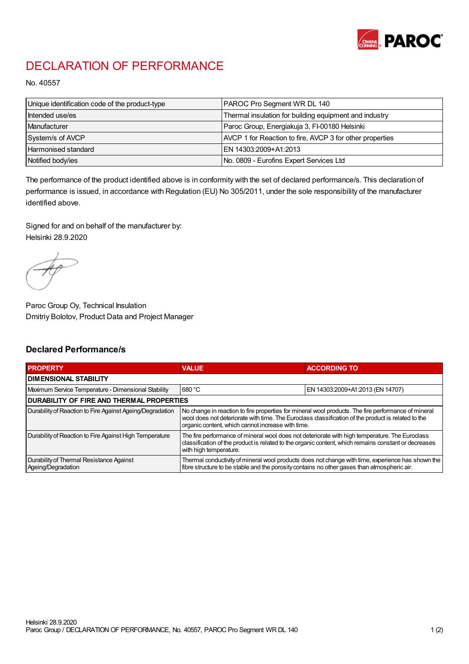

## DECLARATION OF PERFORMANCE

No. 40557

| Unique identification code of the product-type | PAROC Pro Segment WR DL 140                              |
|------------------------------------------------|----------------------------------------------------------|
| Intended use/es                                | Thermal insulation for building equipment and industry   |
| Manufacturer                                   | Paroc Group, Energiakuja 3, FI-00180 Helsinki            |
| System/s of AVCP                               | AVCP 1 for Reaction to fire, AVCP 3 for other properties |
| Harmonised standard                            | IEN 14303:2009+A1:2013                                   |
| Notified body/ies                              | No. 0809 - Eurofins Expert Services Ltd                  |

The performance of the product identified above is in conformity with the set of declared performance/s. This declaration of performance is issued, in accordance with Regulation (EU) No 305/2011, under the sole responsibility of the manufacturer identified above.

Signed for and on behalf of the manufacturer by: Helsinki 28.9.2020

Paroc Group Oy, Technical Insulation Dmitriy Bolotov, Product Data and Project Manager

## Declared Performance/s

| <b>PROPERTY</b>                                                | <b>VALUE</b>                                                                                                                                                                                                                                                   | <b>ACCORDING TO</b>              |  |
|----------------------------------------------------------------|----------------------------------------------------------------------------------------------------------------------------------------------------------------------------------------------------------------------------------------------------------------|----------------------------------|--|
| <b>DIMENSIONAL STABILITY</b>                                   |                                                                                                                                                                                                                                                                |                                  |  |
| Maximum Service Temperature - Dimensional Stability            | 680 °C                                                                                                                                                                                                                                                         | EN 14303:2009+A1:2013 (EN 14707) |  |
| <b>DURABILITY OF FIRE AND THERMAL PROPERTIES</b>               |                                                                                                                                                                                                                                                                |                                  |  |
| Durability of Reaction to Fire Against Ageing/Degradation      | No change in reaction to fire properties for mineral wool products. The fire performance of mineral<br>wool does not deteriorate with time. The Euroclass classification of the product is related to the<br>organic content, which cannot increase with time. |                                  |  |
| Durability of Reaction to Fire Against High Temperature        | The fire performance of mineral wool does not deteriorate with high temperature. The Euroclass<br>classification of the product is related to the organic content, which remains constant or decreases<br>with high temperature.                               |                                  |  |
| Durability of Thermal Resistance Against<br>Ageing/Degradation | Thermal conductivity of mineral wool products does not change with time, experience has shown the<br>fibre structure to be stable and the porosity contains no other gases than atmospheric air.                                                               |                                  |  |